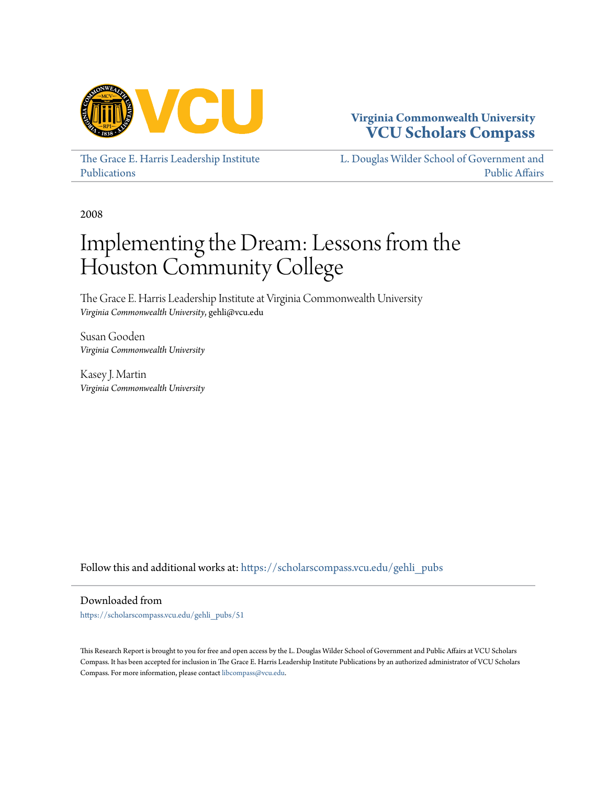

# **Virginia Commonwealth University [VCU Scholars Compass](https://scholarscompass.vcu.edu?utm_source=scholarscompass.vcu.edu%2Fgehli_pubs%2F51&utm_medium=PDF&utm_campaign=PDFCoverPages)**

[The Grace E. Harris Leadership Institute](https://scholarscompass.vcu.edu/gehli_pubs?utm_source=scholarscompass.vcu.edu%2Fgehli_pubs%2F51&utm_medium=PDF&utm_campaign=PDFCoverPages) [Publications](https://scholarscompass.vcu.edu/gehli_pubs?utm_source=scholarscompass.vcu.edu%2Fgehli_pubs%2F51&utm_medium=PDF&utm_campaign=PDFCoverPages)

[L. Douglas Wilder School of Government and](https://scholarscompass.vcu.edu/wilder?utm_source=scholarscompass.vcu.edu%2Fgehli_pubs%2F51&utm_medium=PDF&utm_campaign=PDFCoverPages) [Public Affairs](https://scholarscompass.vcu.edu/wilder?utm_source=scholarscompass.vcu.edu%2Fgehli_pubs%2F51&utm_medium=PDF&utm_campaign=PDFCoverPages)

2008

# Implementing the Dream: Lessons from the Houston Community College

The Grace E. Harris Leadership Institute at Virginia Commonwealth University *Virginia Commonwealth University*, gehli@vcu.edu

Susan Gooden *Virginia Commonwealth University*

Kasey J. Martin *Virginia Commonwealth University*

Follow this and additional works at: [https://scholarscompass.vcu.edu/gehli\\_pubs](https://scholarscompass.vcu.edu/gehli_pubs?utm_source=scholarscompass.vcu.edu%2Fgehli_pubs%2F51&utm_medium=PDF&utm_campaign=PDFCoverPages)

Downloaded from

[https://scholarscompass.vcu.edu/gehli\\_pubs/51](https://scholarscompass.vcu.edu/gehli_pubs/51?utm_source=scholarscompass.vcu.edu%2Fgehli_pubs%2F51&utm_medium=PDF&utm_campaign=PDFCoverPages)

This Research Report is brought to you for free and open access by the L. Douglas Wilder School of Government and Public Affairs at VCU Scholars Compass. It has been accepted for inclusion in The Grace E. Harris Leadership Institute Publications by an authorized administrator of VCU Scholars Compass. For more information, please contact [libcompass@vcu.edu](mailto:libcompass@vcu.edu).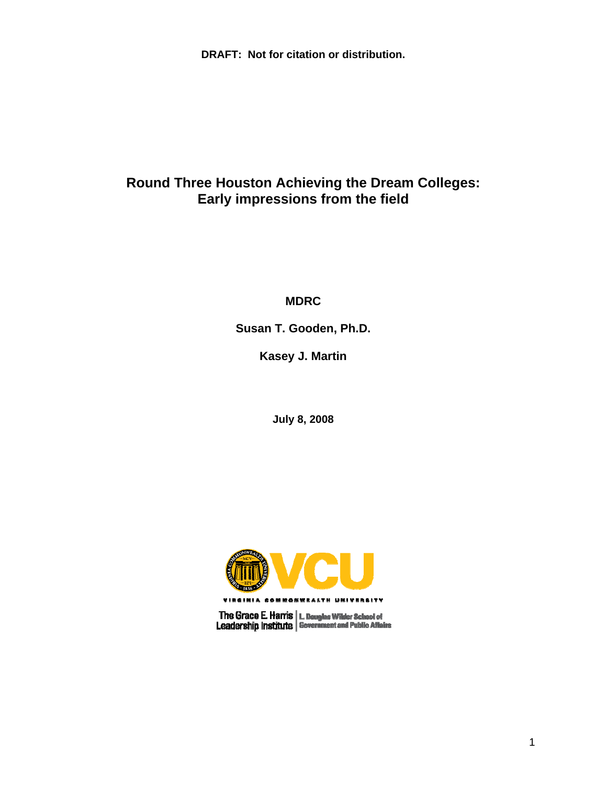**DRAFT: Not for citation or distribution.** 

# **Round Three Houston Achieving the Dream Colleges: Early impressions from the field**

**MDRC** 

**Susan T. Gooden, Ph.D.** 

**Kasey J. Martin** 

**July 8, 2008** 



The Grace E. Harris | L. Douglas Wilder School of<br>Leadership Institute | Government and Public Aflairs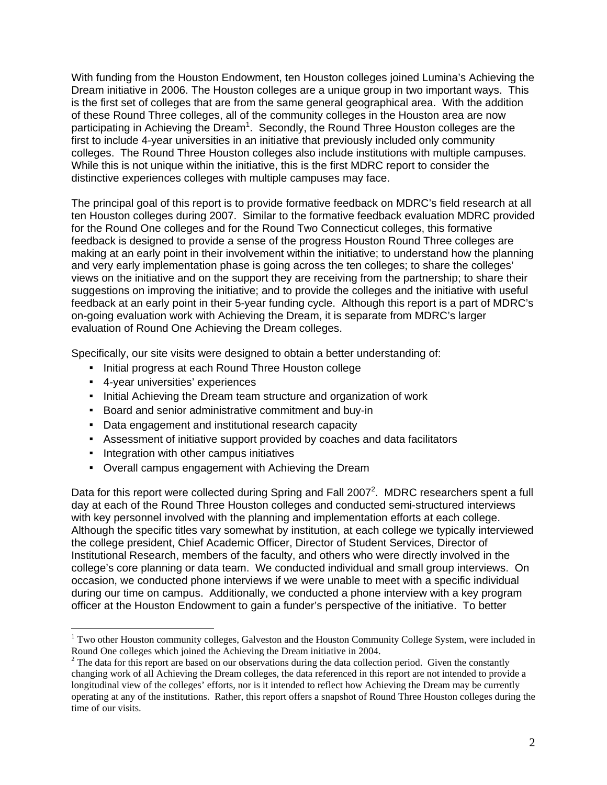With funding from the Houston Endowment, ten Houston colleges joined Lumina's Achieving the Dream initiative in 2006. The Houston colleges are a unique group in two important ways. This is the first set of colleges that are from the same general geographical area. With the addition of these Round Three colleges, all of the community colleges in the Houston area are now participating in Achieving the Dream<sup>1</sup>. Secondly, the Round Three Houston colleges are the first to include 4-year universities in an initiative that previously included only community colleges. The Round Three Houston colleges also include institutions with multiple campuses. While this is not unique within the initiative, this is the first MDRC report to consider the distinctive experiences colleges with multiple campuses may face.

The principal goal of this report is to provide formative feedback on MDRC's field research at all ten Houston colleges during 2007. Similar to the formative feedback evaluation MDRC provided for the Round One colleges and for the Round Two Connecticut colleges, this formative feedback is designed to provide a sense of the progress Houston Round Three colleges are making at an early point in their involvement within the initiative; to understand how the planning and very early implementation phase is going across the ten colleges; to share the colleges' views on the initiative and on the support they are receiving from the partnership; to share their suggestions on improving the initiative; and to provide the colleges and the initiative with useful feedback at an early point in their 5-year funding cycle. Although this report is a part of MDRC's on-going evaluation work with Achieving the Dream, it is separate from MDRC's larger evaluation of Round One Achieving the Dream colleges.

Specifically, our site visits were designed to obtain a better understanding of:

- Initial progress at each Round Three Houston college
- 4-year universities' experiences

 $\overline{a}$ 

- **Initial Achieving the Dream team structure and organization of work**
- Board and senior administrative commitment and buy-in
- **Data engagement and institutional research capacity**
- **EXE** Assessment of initiative support provided by coaches and data facilitators
- **•** Integration with other campus initiatives
- Overall campus engagement with Achieving the Dream

Data for this report were collected during Spring and Fall 2007<sup>2</sup>. MDRC researchers spent a full day at each of the Round Three Houston colleges and conducted semi-structured interviews with key personnel involved with the planning and implementation efforts at each college. Although the specific titles vary somewhat by institution, at each college we typically interviewed the college president, Chief Academic Officer, Director of Student Services, Director of Institutional Research, members of the faculty, and others who were directly involved in the college's core planning or data team. We conducted individual and small group interviews. On occasion, we conducted phone interviews if we were unable to meet with a specific individual during our time on campus. Additionally, we conducted a phone interview with a key program officer at the Houston Endowment to gain a funder's perspective of the initiative. To better

<sup>&</sup>lt;sup>1</sup> Two other Houston community colleges, Galveston and the Houston Community College System, were included in Round One colleges which joined the Achieving the Dream initiative in 2004.

 $2^2$  The data for this report are based on our observations during the data collection period. Given the constantly changing work of all Achieving the Dream colleges, the data referenced in this report are not intended to provide a longitudinal view of the colleges' efforts, nor is it intended to reflect how Achieving the Dream may be currently operating at any of the institutions. Rather, this report offers a snapshot of Round Three Houston colleges during the time of our visits.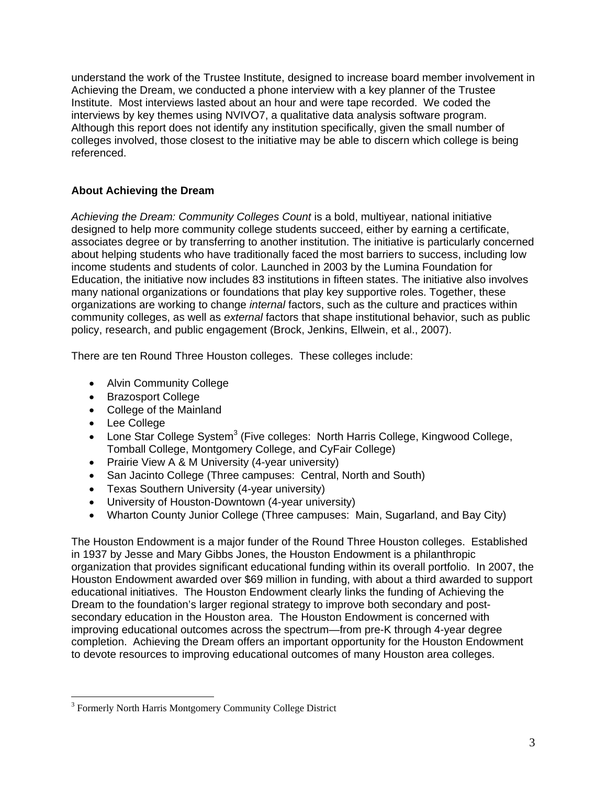understand the work of the Trustee Institute, designed to increase board member involvement in Achieving the Dream, we conducted a phone interview with a key planner of the Trustee Institute. Most interviews lasted about an hour and were tape recorded. We coded the interviews by key themes using NVIVO7, a qualitative data analysis software program. Although this report does not identify any institution specifically, given the small number of colleges involved, those closest to the initiative may be able to discern which college is being referenced.

# **About Achieving the Dream**

*Achieving the Dream: Community Colleges Count* is a bold, multiyear, national initiative designed to help more community college students succeed, either by earning a certificate, associates degree or by transferring to another institution. The initiative is particularly concerned about helping students who have traditionally faced the most barriers to success, including low income students and students of color. Launched in 2003 by the Lumina Foundation for Education, the initiative now includes 83 institutions in fifteen states. The initiative also involves many national organizations or foundations that play key supportive roles. Together, these organizations are working to change *internal* factors, such as the culture and practices within community colleges, as well as *external* factors that shape institutional behavior, such as public policy, research, and public engagement (Brock, Jenkins, Ellwein, et al., 2007).

There are ten Round Three Houston colleges. These colleges include:

- Alvin Community College
- Brazosport College
- College of the Mainland
- Lee College

 $\overline{a}$ 

- $\bullet$  Lone Star College System<sup>3</sup> (Five colleges: North Harris College, Kingwood College, Tomball College, Montgomery College, and CyFair College)
- Prairie View A & M University (4-year university)
- San Jacinto College (Three campuses: Central, North and South)
- Texas Southern University (4-year university)
- University of Houston-Downtown (4-year university)
- Wharton County Junior College (Three campuses: Main, Sugarland, and Bay City)

The Houston Endowment is a major funder of the Round Three Houston colleges. Established in 1937 by Jesse and Mary Gibbs Jones, the Houston Endowment is a philanthropic organization that provides significant educational funding within its overall portfolio. In 2007, the Houston Endowment awarded over \$69 million in funding, with about a third awarded to support educational initiatives. The Houston Endowment clearly links the funding of Achieving the Dream to the foundation's larger regional strategy to improve both secondary and postsecondary education in the Houston area. The Houston Endowment is concerned with improving educational outcomes across the spectrum—from pre-K through 4-year degree completion. Achieving the Dream offers an important opportunity for the Houston Endowment to devote resources to improving educational outcomes of many Houston area colleges.

<sup>&</sup>lt;sup>3</sup> Formerly North Harris Montgomery Community College District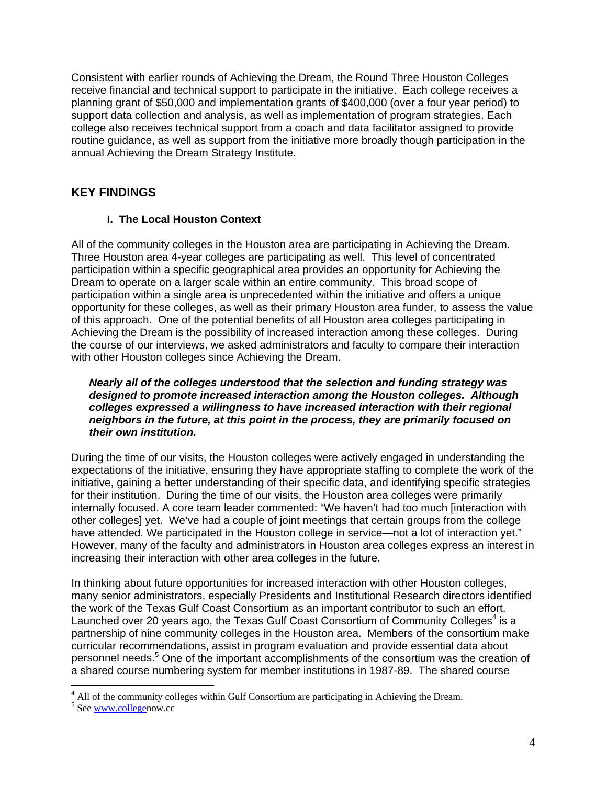Consistent with earlier rounds of Achieving the Dream, the Round Three Houston Colleges receive financial and technical support to participate in the initiative. Each college receives a planning grant of \$50,000 and implementation grants of \$400,000 (over a four year period) to support data collection and analysis, as well as implementation of program strategies. Each college also receives technical support from a coach and data facilitator assigned to provide routine guidance, as well as support from the initiative more broadly though participation in the annual Achieving the Dream Strategy Institute.

# **KEY FINDINGS**

## **I. The Local Houston Context**

All of the community colleges in the Houston area are participating in Achieving the Dream. Three Houston area 4-year colleges are participating as well. This level of concentrated participation within a specific geographical area provides an opportunity for Achieving the Dream to operate on a larger scale within an entire community. This broad scope of participation within a single area is unprecedented within the initiative and offers a unique opportunity for these colleges, as well as their primary Houston area funder, to assess the value of this approach. One of the potential benefits of all Houston area colleges participating in Achieving the Dream is the possibility of increased interaction among these colleges. During the course of our interviews, we asked administrators and faculty to compare their interaction with other Houston colleges since Achieving the Dream.

*Nearly all of the colleges understood that the selection and funding strategy was designed to promote increased interaction among the Houston colleges. Although colleges expressed a willingness to have increased interaction with their regional neighbors in the future, at this point in the process, they are primarily focused on their own institution.* 

During the time of our visits, the Houston colleges were actively engaged in understanding the expectations of the initiative, ensuring they have appropriate staffing to complete the work of the initiative, gaining a better understanding of their specific data, and identifying specific strategies for their institution. During the time of our visits, the Houston area colleges were primarily internally focused. A core team leader commented: "We haven't had too much [interaction with other colleges] yet. We've had a couple of joint meetings that certain groups from the college have attended. We participated in the Houston college in service—not a lot of interaction yet." However, many of the faculty and administrators in Houston area colleges express an interest in increasing their interaction with other area colleges in the future.

In thinking about future opportunities for increased interaction with other Houston colleges, many senior administrators, especially Presidents and Institutional Research directors identified the work of the Texas Gulf Coast Consortium as an important contributor to such an effort. Launched over 20 years ago, the Texas Gulf Coast Consortium of Community Colleges<sup>4</sup> is a partnership of nine community colleges in the Houston area. Members of the consortium make curricular recommendations, assist in program evaluation and provide essential data about personnel needs.<sup>5</sup> One of the important accomplishments of the consortium was the creation of a shared course numbering system for member institutions in 1987-89. The shared course

<sup>&</sup>lt;sup>4</sup> All of the community colleges within Gulf Consortium are participating in Achieving the Dream.

<sup>&</sup>lt;sup>5</sup> See www.collegenow.cc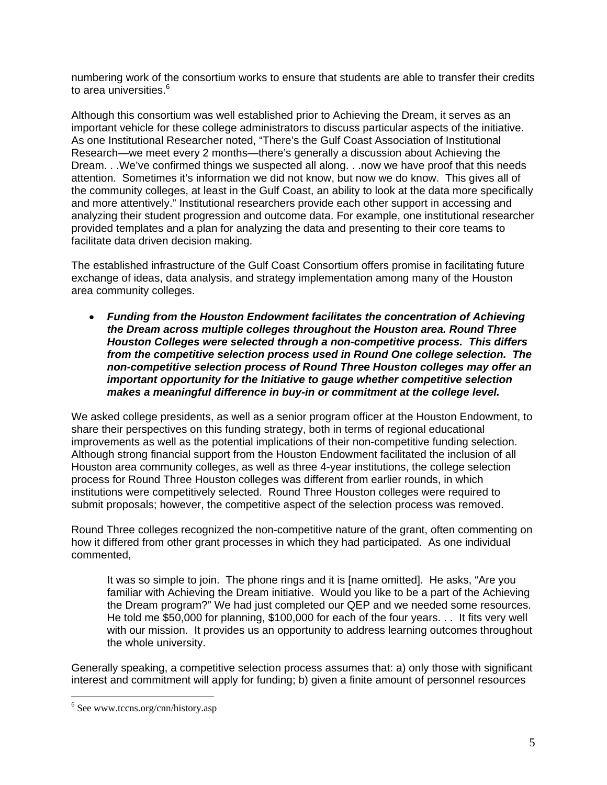numbering work of the consortium works to ensure that students are able to transfer their credits to area universities.<sup>6</sup>

Although this consortium was well established prior to Achieving the Dream, it serves as an important vehicle for these college administrators to discuss particular aspects of the initiative. As one Institutional Researcher noted, "There's the Gulf Coast Association of Institutional Research—we meet every 2 months—there's generally a discussion about Achieving the Dream. . .We've confirmed things we suspected all along. . .now we have proof that this needs attention. Sometimes it's information we did not know, but now we do know. This gives all of the community colleges, at least in the Gulf Coast, an ability to look at the data more specifically and more attentively." Institutional researchers provide each other support in accessing and analyzing their student progression and outcome data. For example, one institutional researcher provided templates and a plan for analyzing the data and presenting to their core teams to facilitate data driven decision making.

The established infrastructure of the Gulf Coast Consortium offers promise in facilitating future exchange of ideas, data analysis, and strategy implementation among many of the Houston area community colleges.

 *Funding from the Houston Endowment facilitates the concentration of Achieving the Dream across multiple colleges throughout the Houston area. Round Three Houston Colleges were selected through a non-competitive process. This differs from the competitive selection process used in Round One college selection. The non-competitive selection process of Round Three Houston colleges may offer an important opportunity for the Initiative to gauge whether competitive selection makes a meaningful difference in buy-in or commitment at the college level.* 

We asked college presidents, as well as a senior program officer at the Houston Endowment, to share their perspectives on this funding strategy, both in terms of regional educational improvements as well as the potential implications of their non-competitive funding selection. Although strong financial support from the Houston Endowment facilitated the inclusion of all Houston area community colleges, as well as three 4-year institutions, the college selection process for Round Three Houston colleges was different from earlier rounds, in which institutions were competitively selected. Round Three Houston colleges were required to submit proposals; however, the competitive aspect of the selection process was removed.

Round Three colleges recognized the non-competitive nature of the grant, often commenting on how it differed from other grant processes in which they had participated. As one individual commented,

It was so simple to join. The phone rings and it is [name omitted]. He asks, "Are you familiar with Achieving the Dream initiative. Would you like to be a part of the Achieving the Dream program?" We had just completed our QEP and we needed some resources. He told me \$50,000 for planning, \$100,000 for each of the four years. . . It fits very well with our mission. It provides us an opportunity to address learning outcomes throughout the whole university.

Generally speaking, a competitive selection process assumes that: a) only those with significant interest and commitment will apply for funding; b) given a finite amount of personnel resources

 $\overline{a}$ 

<sup>6</sup> See www.tccns.org/cnn/history.asp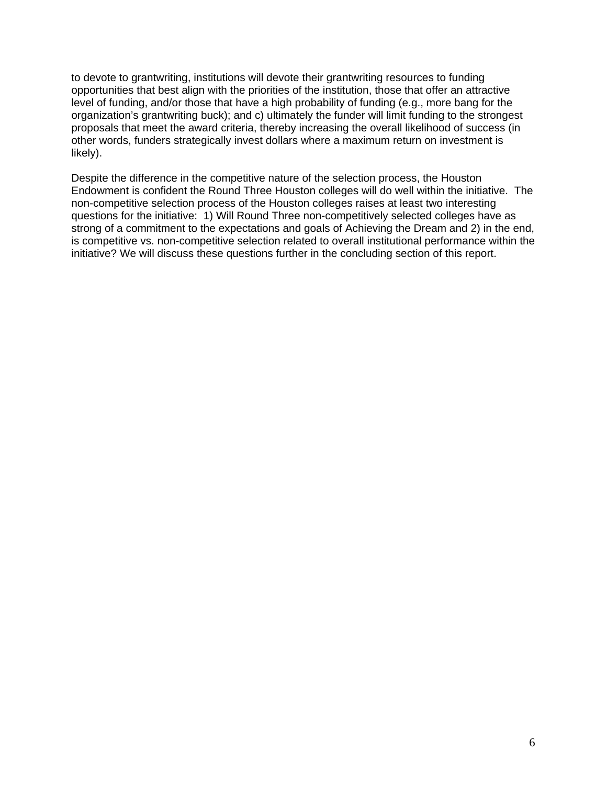to devote to grantwriting, institutions will devote their grantwriting resources to funding opportunities that best align with the priorities of the institution, those that offer an attractive level of funding, and/or those that have a high probability of funding (e.g., more bang for the organization's grantwriting buck); and c) ultimately the funder will limit funding to the strongest proposals that meet the award criteria, thereby increasing the overall likelihood of success (in other words, funders strategically invest dollars where a maximum return on investment is likely).

Despite the difference in the competitive nature of the selection process, the Houston Endowment is confident the Round Three Houston colleges will do well within the initiative. The non-competitive selection process of the Houston colleges raises at least two interesting questions for the initiative: 1) Will Round Three non-competitively selected colleges have as strong of a commitment to the expectations and goals of Achieving the Dream and 2) in the end, is competitive vs. non-competitive selection related to overall institutional performance within the initiative? We will discuss these questions further in the concluding section of this report.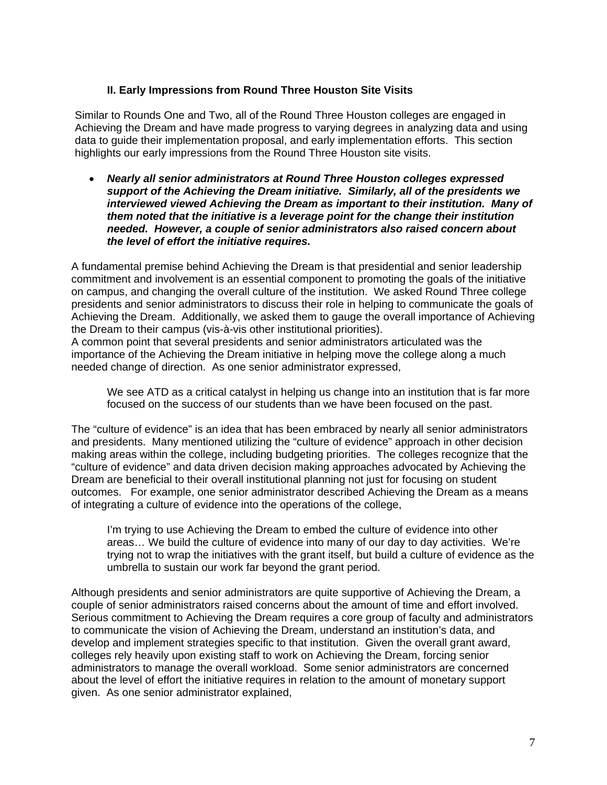#### **II. Early Impressions from Round Three Houston Site Visits**

Similar to Rounds One and Two, all of the Round Three Houston colleges are engaged in Achieving the Dream and have made progress to varying degrees in analyzing data and using data to guide their implementation proposal, and early implementation efforts. This section highlights our early impressions from the Round Three Houston site visits.

 *Nearly all senior administrators at Round Three Houston colleges expressed support of the Achieving the Dream initiative. Similarly, all of the presidents we interviewed viewed Achieving the Dream as important to their institution. Many of them noted that the initiative is a leverage point for the change their institution needed. However, a couple of senior administrators also raised concern about the level of effort the initiative requires.* 

A fundamental premise behind Achieving the Dream is that presidential and senior leadership commitment and involvement is an essential component to promoting the goals of the initiative on campus, and changing the overall culture of the institution. We asked Round Three college presidents and senior administrators to discuss their role in helping to communicate the goals of Achieving the Dream. Additionally, we asked them to gauge the overall importance of Achieving the Dream to their campus (vis-à-vis other institutional priorities).

A common point that several presidents and senior administrators articulated was the importance of the Achieving the Dream initiative in helping move the college along a much needed change of direction. As one senior administrator expressed,

We see ATD as a critical catalyst in helping us change into an institution that is far more focused on the success of our students than we have been focused on the past.

The "culture of evidence" is an idea that has been embraced by nearly all senior administrators and presidents. Many mentioned utilizing the "culture of evidence" approach in other decision making areas within the college, including budgeting priorities. The colleges recognize that the "culture of evidence" and data driven decision making approaches advocated by Achieving the Dream are beneficial to their overall institutional planning not just for focusing on student outcomes. For example, one senior administrator described Achieving the Dream as a means of integrating a culture of evidence into the operations of the college,

I'm trying to use Achieving the Dream to embed the culture of evidence into other areas… We build the culture of evidence into many of our day to day activities. We're trying not to wrap the initiatives with the grant itself, but build a culture of evidence as the umbrella to sustain our work far beyond the grant period.

Although presidents and senior administrators are quite supportive of Achieving the Dream, a couple of senior administrators raised concerns about the amount of time and effort involved. Serious commitment to Achieving the Dream requires a core group of faculty and administrators to communicate the vision of Achieving the Dream, understand an institution's data, and develop and implement strategies specific to that institution. Given the overall grant award, colleges rely heavily upon existing staff to work on Achieving the Dream, forcing senior administrators to manage the overall workload. Some senior administrators are concerned about the level of effort the initiative requires in relation to the amount of monetary support given. As one senior administrator explained,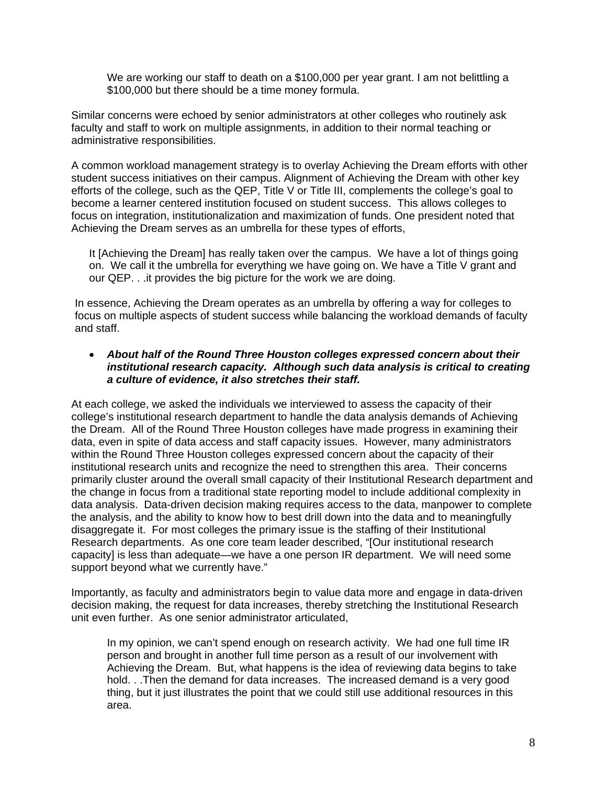We are working our staff to death on a \$100,000 per year grant. I am not belittling a \$100,000 but there should be a time money formula.

Similar concerns were echoed by senior administrators at other colleges who routinely ask faculty and staff to work on multiple assignments, in addition to their normal teaching or administrative responsibilities.

A common workload management strategy is to overlay Achieving the Dream efforts with other student success initiatives on their campus. Alignment of Achieving the Dream with other key efforts of the college, such as the QEP, Title V or Title III, complements the college's goal to become a learner centered institution focused on student success. This allows colleges to focus on integration, institutionalization and maximization of funds. One president noted that Achieving the Dream serves as an umbrella for these types of efforts,

It [Achieving the Dream] has really taken over the campus. We have a lot of things going on. We call it the umbrella for everything we have going on. We have a Title V grant and our QEP. . .it provides the big picture for the work we are doing.

In essence, Achieving the Dream operates as an umbrella by offering a way for colleges to focus on multiple aspects of student success while balancing the workload demands of faculty and staff.

#### *About half of the Round Three Houston colleges expressed concern about their institutional research capacity. Although such data analysis is critical to creating a culture of evidence, it also stretches their staff.*

At each college, we asked the individuals we interviewed to assess the capacity of their college's institutional research department to handle the data analysis demands of Achieving the Dream. All of the Round Three Houston colleges have made progress in examining their data, even in spite of data access and staff capacity issues. However, many administrators within the Round Three Houston colleges expressed concern about the capacity of their institutional research units and recognize the need to strengthen this area. Their concerns primarily cluster around the overall small capacity of their Institutional Research department and the change in focus from a traditional state reporting model to include additional complexity in data analysis. Data-driven decision making requires access to the data, manpower to complete the analysis, and the ability to know how to best drill down into the data and to meaningfully disaggregate it. For most colleges the primary issue is the staffing of their Institutional Research departments. As one core team leader described, "[Our institutional research capacity] is less than adequate—we have a one person IR department. We will need some support beyond what we currently have."

Importantly, as faculty and administrators begin to value data more and engage in data-driven decision making, the request for data increases, thereby stretching the Institutional Research unit even further. As one senior administrator articulated,

In my opinion, we can't spend enough on research activity. We had one full time IR person and brought in another full time person as a result of our involvement with Achieving the Dream. But, what happens is the idea of reviewing data begins to take hold. . .Then the demand for data increases. The increased demand is a very good thing, but it just illustrates the point that we could still use additional resources in this area.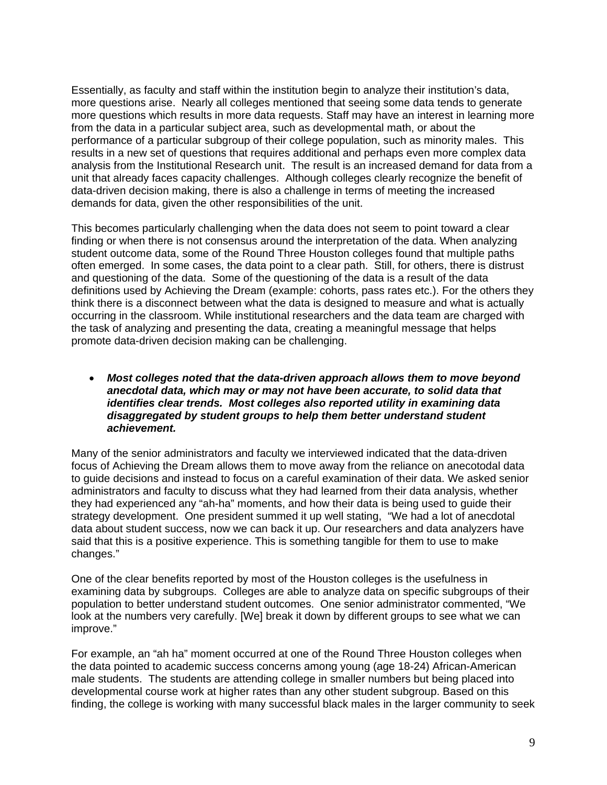Essentially, as faculty and staff within the institution begin to analyze their institution's data, more questions arise. Nearly all colleges mentioned that seeing some data tends to generate more questions which results in more data requests. Staff may have an interest in learning more from the data in a particular subject area, such as developmental math, or about the performance of a particular subgroup of their college population, such as minority males. This results in a new set of questions that requires additional and perhaps even more complex data analysis from the Institutional Research unit. The result is an increased demand for data from a unit that already faces capacity challenges. Although colleges clearly recognize the benefit of data-driven decision making, there is also a challenge in terms of meeting the increased demands for data, given the other responsibilities of the unit.

This becomes particularly challenging when the data does not seem to point toward a clear finding or when there is not consensus around the interpretation of the data. When analyzing student outcome data, some of the Round Three Houston colleges found that multiple paths often emerged. In some cases, the data point to a clear path. Still, for others, there is distrust and questioning of the data. Some of the questioning of the data is a result of the data definitions used by Achieving the Dream (example: cohorts, pass rates etc.). For the others they think there is a disconnect between what the data is designed to measure and what is actually occurring in the classroom. While institutional researchers and the data team are charged with the task of analyzing and presenting the data, creating a meaningful message that helps promote data-driven decision making can be challenging.

 *Most colleges noted that the data-driven approach allows them to move beyond anecdotal data, which may or may not have been accurate, to solid data that identifies clear trends. Most colleges also reported utility in examining data disaggregated by student groups to help them better understand student achievement.* 

Many of the senior administrators and faculty we interviewed indicated that the data-driven focus of Achieving the Dream allows them to move away from the reliance on anecotodal data to guide decisions and instead to focus on a careful examination of their data. We asked senior administrators and faculty to discuss what they had learned from their data analysis, whether they had experienced any "ah-ha" moments, and how their data is being used to guide their strategy development. One president summed it up well stating, "We had a lot of anecdotal data about student success, now we can back it up. Our researchers and data analyzers have said that this is a positive experience. This is something tangible for them to use to make changes."

One of the clear benefits reported by most of the Houston colleges is the usefulness in examining data by subgroups. Colleges are able to analyze data on specific subgroups of their population to better understand student outcomes. One senior administrator commented, "We look at the numbers very carefully. [We] break it down by different groups to see what we can improve."

For example, an "ah ha" moment occurred at one of the Round Three Houston colleges when the data pointed to academic success concerns among young (age 18-24) African-American male students. The students are attending college in smaller numbers but being placed into developmental course work at higher rates than any other student subgroup. Based on this finding, the college is working with many successful black males in the larger community to seek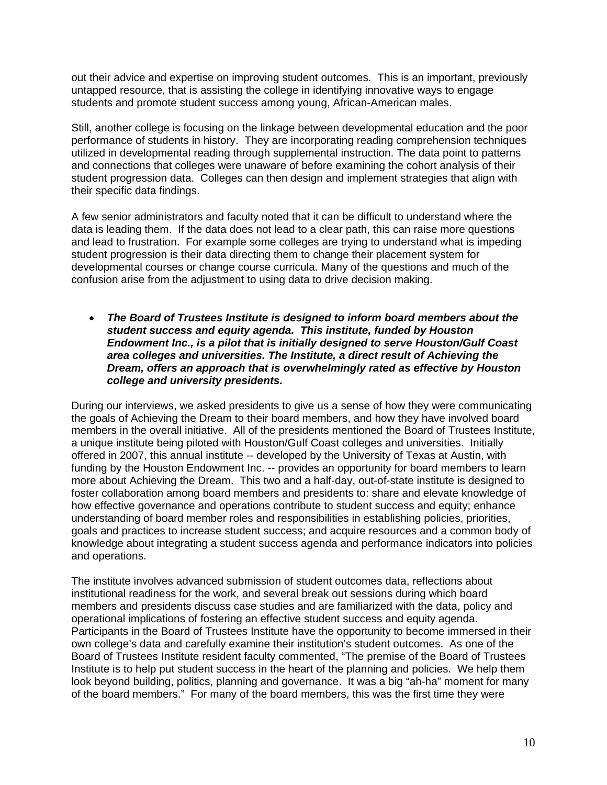out their advice and expertise on improving student outcomes. This is an important, previously untapped resource, that is assisting the college in identifying innovative ways to engage students and promote student success among young, African-American males.

Still, another college is focusing on the linkage between developmental education and the poor performance of students in history. They are incorporating reading comprehension techniques utilized in developmental reading through supplemental instruction. The data point to patterns and connections that colleges were unaware of before examining the cohort analysis of their student progression data. Colleges can then design and implement strategies that align with their specific data findings.

A few senior administrators and faculty noted that it can be difficult to understand where the data is leading them. If the data does not lead to a clear path, this can raise more questions and lead to frustration. For example some colleges are trying to understand what is impeding student progression is their data directing them to change their placement system for developmental courses or change course curricula. Many of the questions and much of the confusion arise from the adjustment to using data to drive decision making.

 *The Board of Trustees Institute is designed to inform board members about the student success and equity agenda. This institute, funded by Houston Endowment Inc., is a pilot that is initially designed to serve Houston/Gulf Coast area colleges and universities. The Institute, a direct result of Achieving the Dream, offers an approach that is overwhelmingly rated as effective by Houston college and university presidents.* 

During our interviews, we asked presidents to give us a sense of how they were communicating the goals of Achieving the Dream to their board members, and how they have involved board members in the overall initiative. All of the presidents mentioned the Board of Trustees Institute, a unique institute being piloted with Houston/Gulf Coast colleges and universities. Initially offered in 2007, this annual institute -- developed by the University of Texas at Austin, with funding by the Houston Endowment Inc. -- provides an opportunity for board members to learn more about Achieving the Dream. This two and a half-day, out-of-state institute is designed to foster collaboration among board members and presidents to: share and elevate knowledge of how effective governance and operations contribute to student success and equity; enhance understanding of board member roles and responsibilities in establishing policies, priorities, goals and practices to increase student success; and acquire resources and a common body of knowledge about integrating a student success agenda and performance indicators into policies and operations.

The institute involves advanced submission of student outcomes data, reflections about institutional readiness for the work, and several break out sessions during which board members and presidents discuss case studies and are familiarized with the data, policy and operational implications of fostering an effective student success and equity agenda. Participants in the Board of Trustees Institute have the opportunity to become immersed in their own college's data and carefully examine their institution's student outcomes. As one of the Board of Trustees Institute resident faculty commented, "The premise of the Board of Trustees Institute is to help put student success in the heart of the planning and policies. We help them look beyond building, politics, planning and governance. It was a big "ah-ha" moment for many of the board members." For many of the board members, this was the first time they were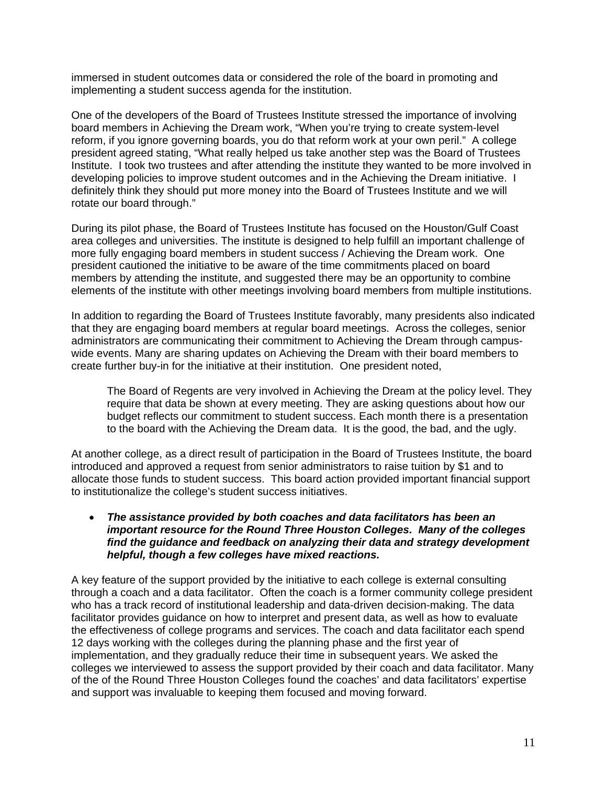immersed in student outcomes data or considered the role of the board in promoting and implementing a student success agenda for the institution.

One of the developers of the Board of Trustees Institute stressed the importance of involving board members in Achieving the Dream work, "When you're trying to create system-level reform, if you ignore governing boards, you do that reform work at your own peril." A college president agreed stating, "What really helped us take another step was the Board of Trustees Institute. I took two trustees and after attending the institute they wanted to be more involved in developing policies to improve student outcomes and in the Achieving the Dream initiative. I definitely think they should put more money into the Board of Trustees Institute and we will rotate our board through."

During its pilot phase, the Board of Trustees Institute has focused on the Houston/Gulf Coast area colleges and universities. The institute is designed to help fulfill an important challenge of more fully engaging board members in student success / Achieving the Dream work. One president cautioned the initiative to be aware of the time commitments placed on board members by attending the institute, and suggested there may be an opportunity to combine elements of the institute with other meetings involving board members from multiple institutions.

In addition to regarding the Board of Trustees Institute favorably, many presidents also indicated that they are engaging board members at regular board meetings. Across the colleges, senior administrators are communicating their commitment to Achieving the Dream through campuswide events. Many are sharing updates on Achieving the Dream with their board members to create further buy-in for the initiative at their institution. One president noted,

The Board of Regents are very involved in Achieving the Dream at the policy level. They require that data be shown at every meeting. They are asking questions about how our budget reflects our commitment to student success. Each month there is a presentation to the board with the Achieving the Dream data. It is the good, the bad, and the ugly.

At another college, as a direct result of participation in the Board of Trustees Institute, the board introduced and approved a request from senior administrators to raise tuition by \$1 and to allocate those funds to student success. This board action provided important financial support to institutionalize the college's student success initiatives.

#### *The assistance provided by both coaches and data facilitators has been an important resource for the Round Three Houston Colleges.**Many of the colleges find the guidance and feedback on analyzing their data and strategy development helpful, though a few colleges have mixed reactions.*

A key feature of the support provided by the initiative to each college is external consulting through a coach and a data facilitator. Often the coach is a former community college president who has a track record of institutional leadership and data-driven decision-making. The data facilitator provides guidance on how to interpret and present data, as well as how to evaluate the effectiveness of college programs and services. The coach and data facilitator each spend 12 days working with the colleges during the planning phase and the first year of implementation, and they gradually reduce their time in subsequent years. We asked the colleges we interviewed to assess the support provided by their coach and data facilitator. Many of the of the Round Three Houston Colleges found the coaches' and data facilitators' expertise and support was invaluable to keeping them focused and moving forward.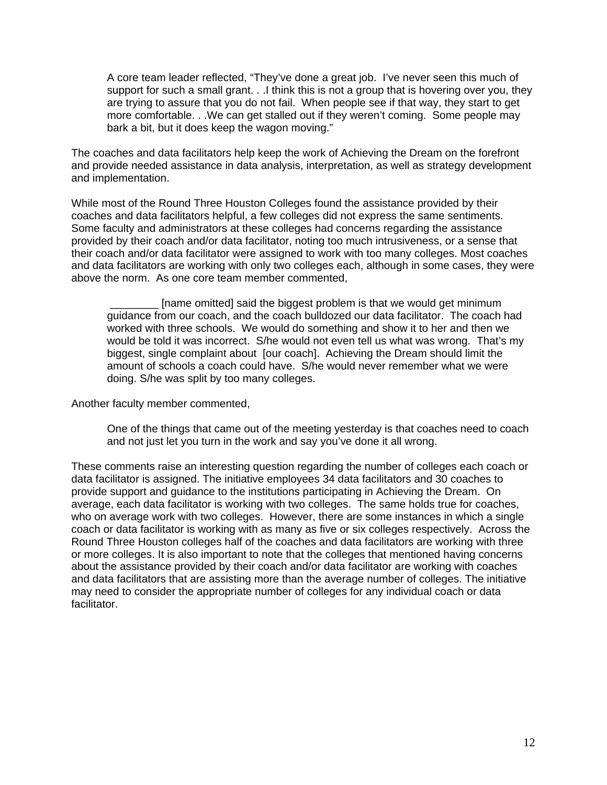A core team leader reflected, "They've done a great job. I've never seen this much of support for such a small grant. . .I think this is not a group that is hovering over you, they are trying to assure that you do not fail. When people see if that way, they start to get more comfortable. . .We can get stalled out if they weren't coming. Some people may bark a bit, but it does keep the wagon moving."

The coaches and data facilitators help keep the work of Achieving the Dream on the forefront and provide needed assistance in data analysis, interpretation, as well as strategy development and implementation.

While most of the Round Three Houston Colleges found the assistance provided by their coaches and data facilitators helpful, a few colleges did not express the same sentiments. Some faculty and administrators at these colleges had concerns regarding the assistance provided by their coach and/or data facilitator, noting too much intrusiveness, or a sense that their coach and/or data facilitator were assigned to work with too many colleges. Most coaches and data facilitators are working with only two colleges each, although in some cases, they were above the norm. As one core team member commented,

 \_\_\_\_\_\_\_\_ [name omitted] said the biggest problem is that we would get minimum guidance from our coach, and the coach bulldozed our data facilitator. The coach had worked with three schools. We would do something and show it to her and then we would be told it was incorrect. S/he would not even tell us what was wrong. That's my biggest, single complaint about [our coach]. Achieving the Dream should limit the amount of schools a coach could have. S/he would never remember what we were doing. S/he was split by too many colleges.

Another faculty member commented,

One of the things that came out of the meeting yesterday is that coaches need to coach and not just let you turn in the work and say you've done it all wrong.

These comments raise an interesting question regarding the number of colleges each coach or data facilitator is assigned. The initiative employees 34 data facilitators and 30 coaches to provide support and guidance to the institutions participating in Achieving the Dream. On average, each data facilitator is working with two colleges. The same holds true for coaches, who on average work with two colleges. However, there are some instances in which a single coach or data facilitator is working with as many as five or six colleges respectively. Across the Round Three Houston colleges half of the coaches and data facilitators are working with three or more colleges. It is also important to note that the colleges that mentioned having concerns about the assistance provided by their coach and/or data facilitator are working with coaches and data facilitators that are assisting more than the average number of colleges. The initiative may need to consider the appropriate number of colleges for any individual coach or data facilitator.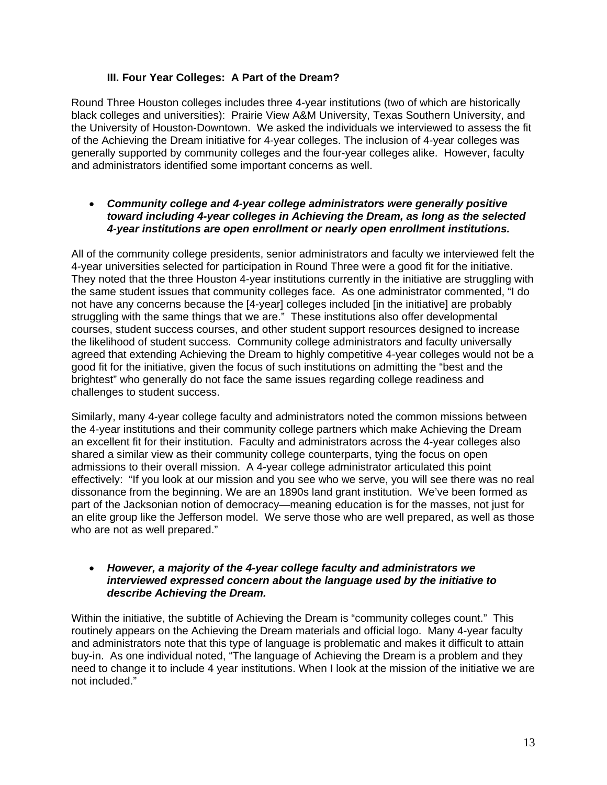#### **III. Four Year Colleges: A Part of the Dream?**

Round Three Houston colleges includes three 4-year institutions (two of which are historically black colleges and universities): Prairie View A&M University, Texas Southern University, and the University of Houston-Downtown. We asked the individuals we interviewed to assess the fit of the Achieving the Dream initiative for 4-year colleges. The inclusion of 4-year colleges was generally supported by community colleges and the four-year colleges alike. However, faculty and administrators identified some important concerns as well.

#### *Community college and 4-year college administrators were generally positive toward including 4-year colleges in Achieving the Dream, as long as the selected 4-year institutions are open enrollment or nearly open enrollment institutions.*

All of the community college presidents, senior administrators and faculty we interviewed felt the 4-year universities selected for participation in Round Three were a good fit for the initiative. They noted that the three Houston 4-year institutions currently in the initiative are struggling with the same student issues that community colleges face. As one administrator commented, "I do not have any concerns because the [4-year] colleges included [in the initiative] are probably struggling with the same things that we are." These institutions also offer developmental courses, student success courses, and other student support resources designed to increase the likelihood of student success. Community college administrators and faculty universally agreed that extending Achieving the Dream to highly competitive 4-year colleges would not be a good fit for the initiative, given the focus of such institutions on admitting the "best and the brightest" who generally do not face the same issues regarding college readiness and challenges to student success.

Similarly, many 4-year college faculty and administrators noted the common missions between the 4-year institutions and their community college partners which make Achieving the Dream an excellent fit for their institution. Faculty and administrators across the 4-year colleges also shared a similar view as their community college counterparts, tying the focus on open admissions to their overall mission. A 4-year college administrator articulated this point effectively: "If you look at our mission and you see who we serve, you will see there was no real dissonance from the beginning. We are an 1890s land grant institution. We've been formed as part of the Jacksonian notion of democracy—meaning education is for the masses, not just for an elite group like the Jefferson model. We serve those who are well prepared, as well as those who are not as well prepared."

#### *However, a majority of the 4-year college faculty and administrators we interviewed expressed concern about the language used by the initiative to describe Achieving the Dream.*

Within the initiative, the subtitle of Achieving the Dream is "community colleges count." This routinely appears on the Achieving the Dream materials and official logo. Many 4-year faculty and administrators note that this type of language is problematic and makes it difficult to attain buy-in. As one individual noted, "The language of Achieving the Dream is a problem and they need to change it to include 4 year institutions. When I look at the mission of the initiative we are not included."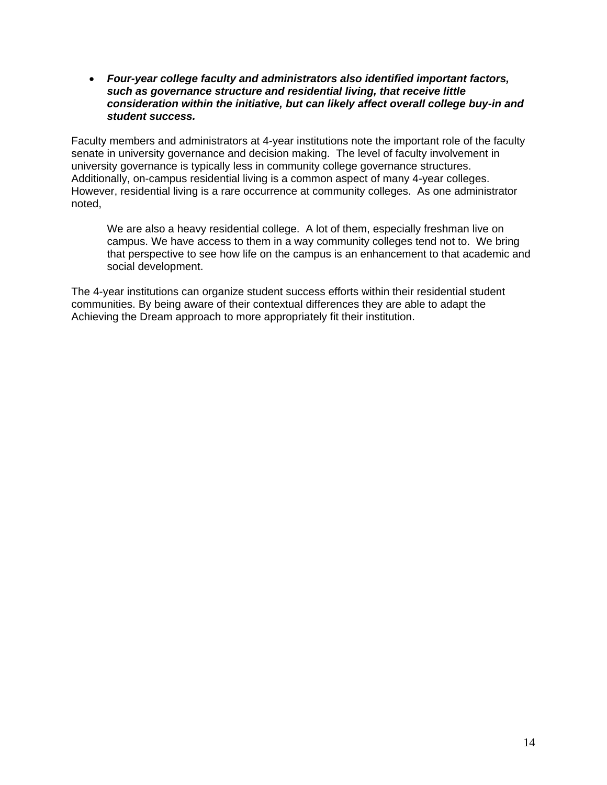*Four-year college faculty and administrators also identified important factors, such as governance structure and residential living, that receive little consideration within the initiative, but can likely affect overall college buy-in and student success.* 

Faculty members and administrators at 4-year institutions note the important role of the faculty senate in university governance and decision making. The level of faculty involvement in university governance is typically less in community college governance structures. Additionally, on-campus residential living is a common aspect of many 4-year colleges. However, residential living is a rare occurrence at community colleges. As one administrator noted,

We are also a heavy residential college. A lot of them, especially freshman live on campus. We have access to them in a way community colleges tend not to. We bring that perspective to see how life on the campus is an enhancement to that academic and social development.

The 4-year institutions can organize student success efforts within their residential student communities. By being aware of their contextual differences they are able to adapt the Achieving the Dream approach to more appropriately fit their institution.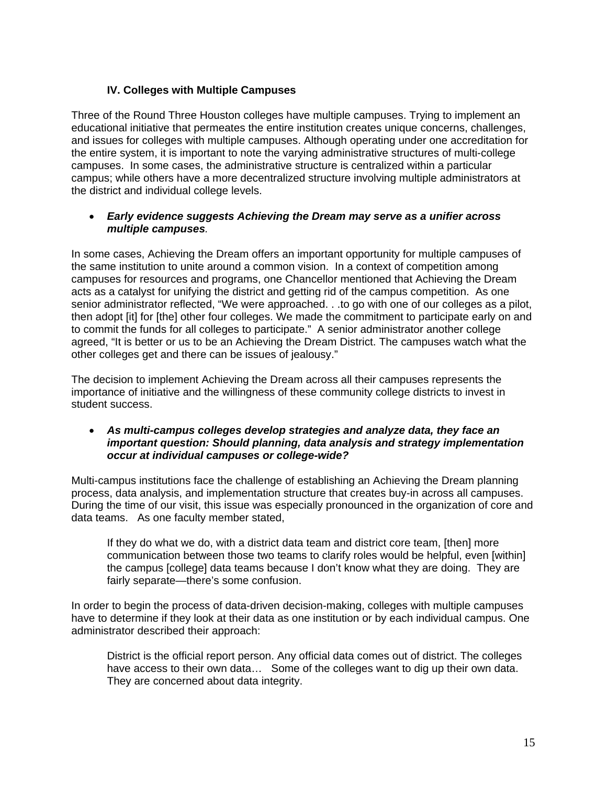### **IV. Colleges with Multiple Campuses**

Three of the Round Three Houston colleges have multiple campuses. Trying to implement an educational initiative that permeates the entire institution creates unique concerns, challenges, and issues for colleges with multiple campuses. Although operating under one accreditation for the entire system, it is important to note the varying administrative structures of multi-college campuses. In some cases, the administrative structure is centralized within a particular campus; while others have a more decentralized structure involving multiple administrators at the district and individual college levels.

#### *Early evidence suggests Achieving the Dream may serve as a unifier across multiple campuses.*

In some cases, Achieving the Dream offers an important opportunity for multiple campuses of the same institution to unite around a common vision. In a context of competition among campuses for resources and programs, one Chancellor mentioned that Achieving the Dream acts as a catalyst for unifying the district and getting rid of the campus competition. As one senior administrator reflected, "We were approached. . .to go with one of our colleges as a pilot, then adopt [it] for [the] other four colleges. We made the commitment to participate early on and to commit the funds for all colleges to participate." A senior administrator another college agreed, "It is better or us to be an Achieving the Dream District. The campuses watch what the other colleges get and there can be issues of jealousy."

The decision to implement Achieving the Dream across all their campuses represents the importance of initiative and the willingness of these community college districts to invest in student success.

#### *As multi-campus colleges develop strategies and analyze data, they face an important question: Should planning, data analysis and strategy implementation occur at individual campuses or college-wide?*

Multi-campus institutions face the challenge of establishing an Achieving the Dream planning process, data analysis, and implementation structure that creates buy-in across all campuses. During the time of our visit, this issue was especially pronounced in the organization of core and data teams. As one faculty member stated,

If they do what we do, with a district data team and district core team, [then] more communication between those two teams to clarify roles would be helpful, even [within] the campus [college] data teams because I don't know what they are doing. They are fairly separate—there's some confusion.

In order to begin the process of data-driven decision-making, colleges with multiple campuses have to determine if they look at their data as one institution or by each individual campus. One administrator described their approach:

District is the official report person. Any official data comes out of district. The colleges have access to their own data… Some of the colleges want to dig up their own data. They are concerned about data integrity.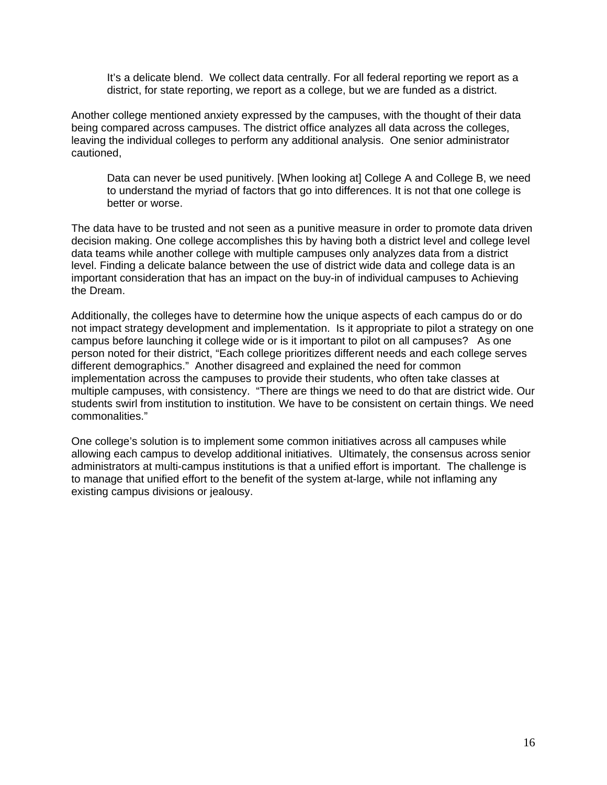It's a delicate blend. We collect data centrally. For all federal reporting we report as a district, for state reporting, we report as a college, but we are funded as a district.

Another college mentioned anxiety expressed by the campuses, with the thought of their data being compared across campuses. The district office analyzes all data across the colleges, leaving the individual colleges to perform any additional analysis. One senior administrator cautioned,

Data can never be used punitively. [When looking at] College A and College B, we need to understand the myriad of factors that go into differences. It is not that one college is better or worse.

The data have to be trusted and not seen as a punitive measure in order to promote data driven decision making. One college accomplishes this by having both a district level and college level data teams while another college with multiple campuses only analyzes data from a district level. Finding a delicate balance between the use of district wide data and college data is an important consideration that has an impact on the buy-in of individual campuses to Achieving the Dream.

Additionally, the colleges have to determine how the unique aspects of each campus do or do not impact strategy development and implementation. Is it appropriate to pilot a strategy on one campus before launching it college wide or is it important to pilot on all campuses? As one person noted for their district, "Each college prioritizes different needs and each college serves different demographics." Another disagreed and explained the need for common implementation across the campuses to provide their students, who often take classes at multiple campuses, with consistency. "There are things we need to do that are district wide. Our students swirl from institution to institution. We have to be consistent on certain things. We need commonalities."

One college's solution is to implement some common initiatives across all campuses while allowing each campus to develop additional initiatives. Ultimately, the consensus across senior administrators at multi-campus institutions is that a unified effort is important. The challenge is to manage that unified effort to the benefit of the system at-large, while not inflaming any existing campus divisions or jealousy.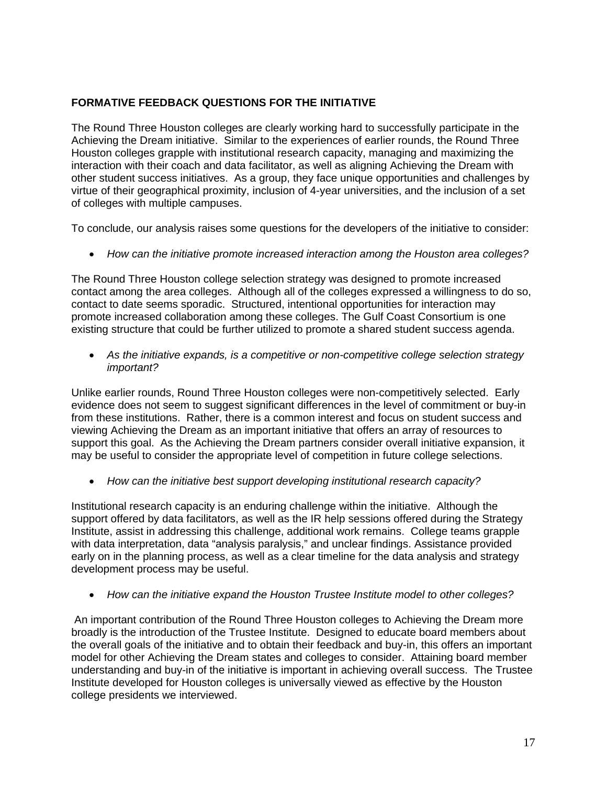## **FORMATIVE FEEDBACK QUESTIONS FOR THE INITIATIVE**

The Round Three Houston colleges are clearly working hard to successfully participate in the Achieving the Dream initiative. Similar to the experiences of earlier rounds, the Round Three Houston colleges grapple with institutional research capacity, managing and maximizing the interaction with their coach and data facilitator, as well as aligning Achieving the Dream with other student success initiatives. As a group, they face unique opportunities and challenges by virtue of their geographical proximity, inclusion of 4-year universities, and the inclusion of a set of colleges with multiple campuses.

To conclude, our analysis raises some questions for the developers of the initiative to consider:

*How can the initiative promote increased interaction among the Houston area colleges?* 

The Round Three Houston college selection strategy was designed to promote increased contact among the area colleges. Although all of the colleges expressed a willingness to do so, contact to date seems sporadic. Structured, intentional opportunities for interaction may promote increased collaboration among these colleges. The Gulf Coast Consortium is one existing structure that could be further utilized to promote a shared student success agenda.

 *As the initiative expands, is a competitive or non-competitive college selection strategy important?* 

Unlike earlier rounds, Round Three Houston colleges were non-competitively selected. Early evidence does not seem to suggest significant differences in the level of commitment or buy-in from these institutions. Rather, there is a common interest and focus on student success and viewing Achieving the Dream as an important initiative that offers an array of resources to support this goal. As the Achieving the Dream partners consider overall initiative expansion, it may be useful to consider the appropriate level of competition in future college selections.

*How can the initiative best support developing institutional research capacity?* 

Institutional research capacity is an enduring challenge within the initiative. Although the support offered by data facilitators, as well as the IR help sessions offered during the Strategy Institute, assist in addressing this challenge, additional work remains. College teams grapple with data interpretation, data "analysis paralysis," and unclear findings. Assistance provided early on in the planning process, as well as a clear timeline for the data analysis and strategy development process may be useful.

*How can the initiative expand the Houston Trustee Institute model to other colleges?* 

 An important contribution of the Round Three Houston colleges to Achieving the Dream more broadly is the introduction of the Trustee Institute. Designed to educate board members about the overall goals of the initiative and to obtain their feedback and buy-in, this offers an important model for other Achieving the Dream states and colleges to consider. Attaining board member understanding and buy-in of the initiative is important in achieving overall success. The Trustee Institute developed for Houston colleges is universally viewed as effective by the Houston college presidents we interviewed.